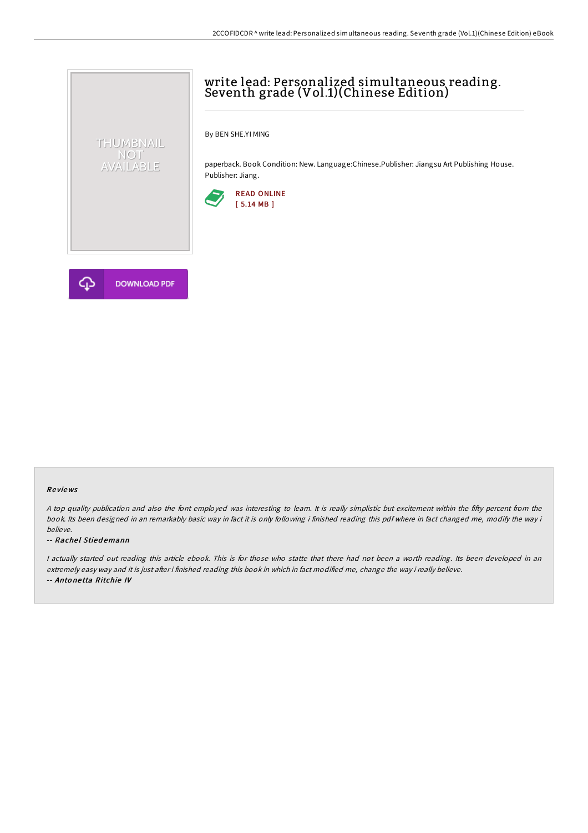# write lead: Personalized simultaneous reading. Seventh grade (Vol.1)(Chinese Edition)

By BEN SHE.YI MING

paperback. Book Condition: New. Language:Chinese.Publisher: Jiangsu Art Publishing House. Publisher: Jiang.





THUMBNAIL NOT<br>AVAILABLE

### Re views

A top quality publication and also the font employed was interesting to learn. It is really simplistic but excitement within the fifty percent from the book. Its been designed in an remarkably basic way in fact it is only following i finished reading this pdf where in fact changed me, modify the way i believe.

#### -- Rachel Stiedemann

I actually started out reading this article ebook. This is for those who statte that there had not been a worth reading. Its been developed in an extremely easy way and it is just after i finished reading this book in which in fact modified me, change the way i really believe. -- Anto ne tta Ritchie IV